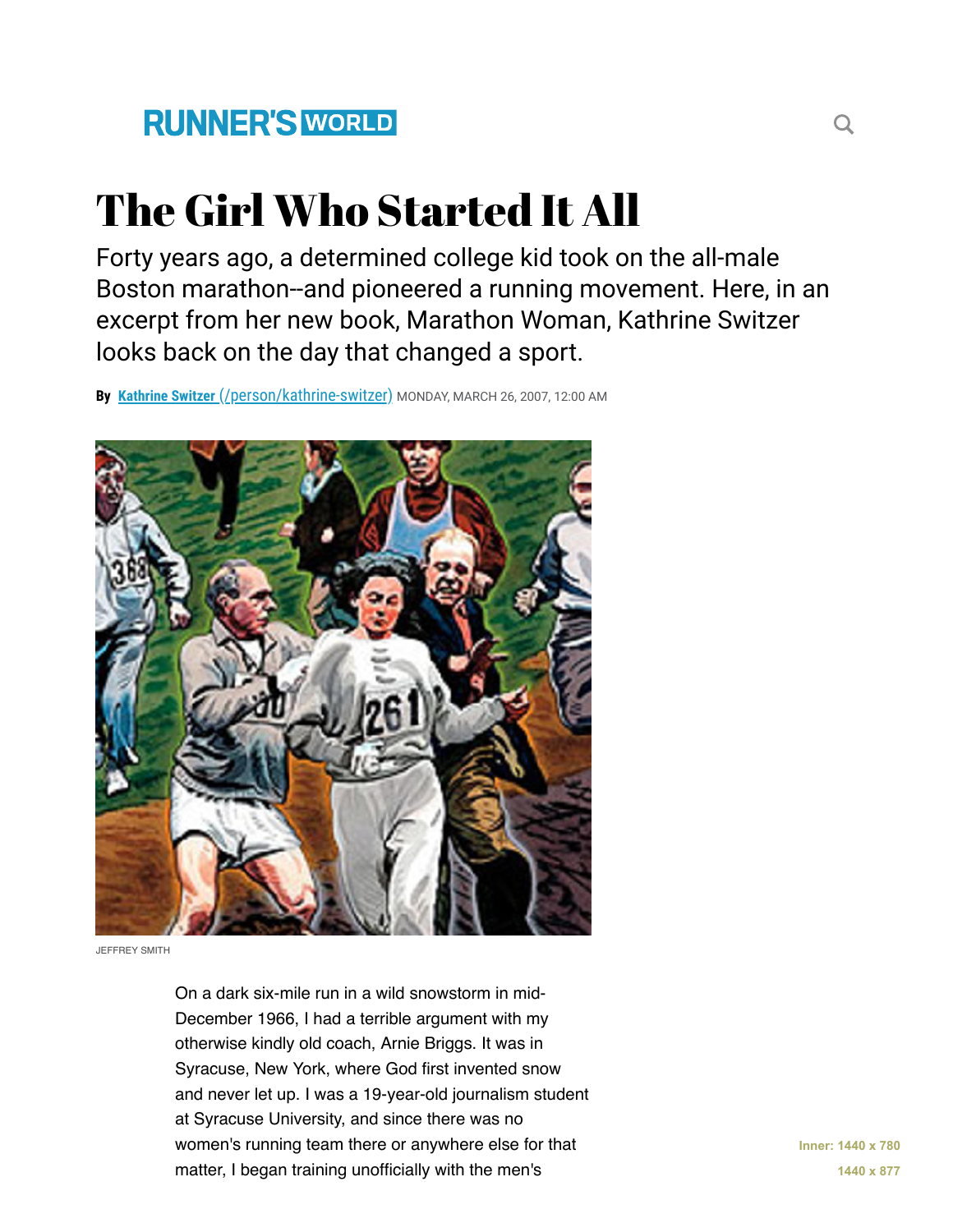## **RUNNER'S WORLD**

## The Girl Who Started It All

Forty years ago, a determined college kid took on the all-male Boston marathon--and pioneered a running movement. Here, in an excerpt from her new book, Marathon Woman, Kathrine Switzer looks back on the day that changed a sport.

**By Kathrine Switzer** (/person/kathrine-switzer) MONDAY, MARCH 26, 2007, 12:00 AM



JEFFREY SMITH

On a dark six-mile run in a wild snowstorm in mid-December 1966, I had a terrible argument with my otherwise kindly old coach, Arnie Briggs. It was in Syracuse, New York, where God first invented snow and never let up. I was a 19-year-old journalism student at Syracuse University, and since there was no women's running team there or anywhere else for that matter, I began training unofficially with the men's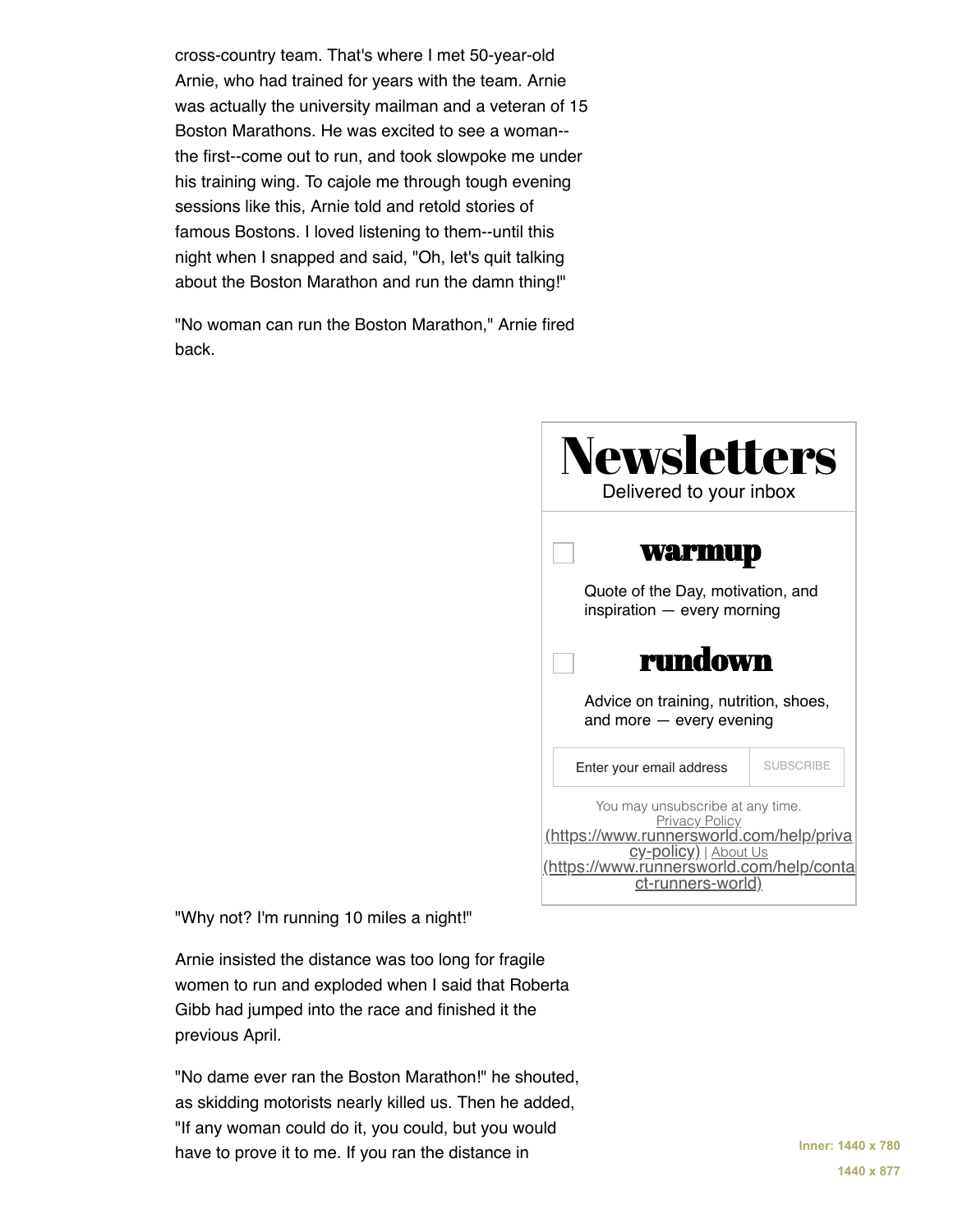cross-country team. That's where I met 50-year-old Arnie, who had trained for years with the team. Arnie was actually the university mailman and a veteran of 15 Boston Marathons. He was excited to see a woman- the first--come out to run, and took slowpoke me under his training wing. To cajole me through tough evening sessions like this, Arnie told and retold stories of famous Bostons. I loved listening to them--until this night when I snapped and said, "Oh, let's quit talking about the Boston Marathon and run the damn thing!"

"No woman can run the Boston Marathon," Arnie fired back.



"Why not? I'm running 10 miles a night!"

Arnie insisted the distance was too long for fragile women to run and exploded when I said that Roberta Gibb had jumped into the race and finished it the previous April.

"No dame ever ran the Boston Marathon!" he shouted, as skidding motorists nearly killed us. Then he added, "If any woman could do it, you could, but you would have to prove it to me. If you ran the distance in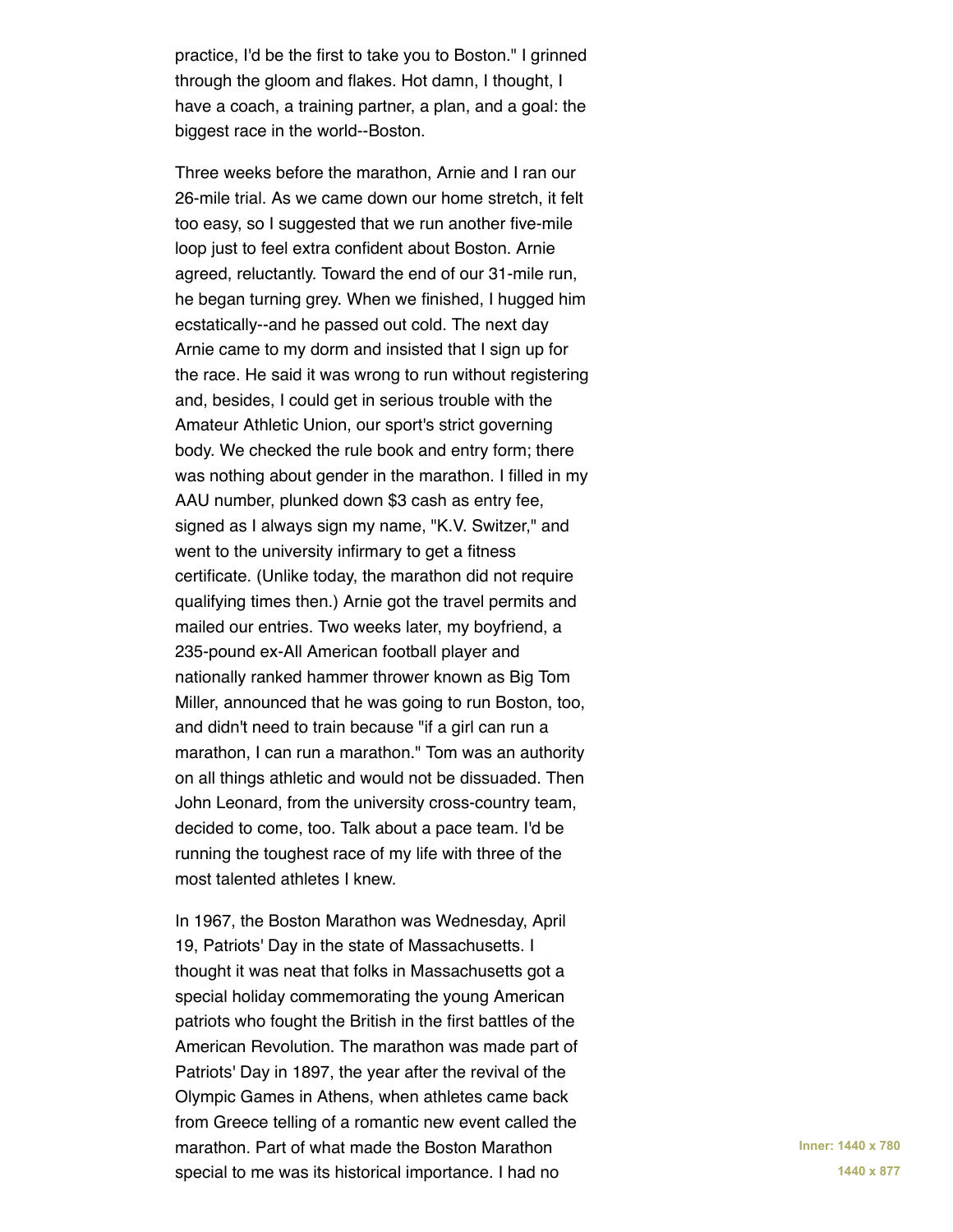practice, I'd be the first to take you to Boston." I grinned through the gloom and flakes. Hot damn, I thought, I have a coach, a training partner, a plan, and a goal: the biggest race in the world--Boston.

Three weeks before the marathon, Arnie and I ran our 26-mile trial. As we came down our home stretch, it felt too easy, so I suggested that we run another five-mile loop just to feel extra confident about Boston. Arnie agreed, reluctantly. Toward the end of our 31-mile run, he began turning grey. When we finished, I hugged him ecstatically--and he passed out cold. The next day Arnie came to my dorm and insisted that I sign up for the race. He said it was wrong to run without registering and, besides, I could get in serious trouble with the Amateur Athletic Union, our sport's strict governing body. We checked the rule book and entry form; there was nothing about gender in the marathon. I filled in my AAU number, plunked down \$3 cash as entry fee, signed as I always sign my name, "K.V. Switzer," and went to the university infirmary to get a fitness certificate. (Unlike today, the marathon did not require qualifying times then.) Arnie got the travel permits and mailed our entries. Two weeks later, my boyfriend, a 235-pound ex-All American football player and nationally ranked hammer thrower known as Big Tom Miller, announced that he was going to run Boston, too, and didn't need to train because "if a girl can run a marathon, I can run a marathon." Tom was an authority on all things athletic and would not be dissuaded. Then John Leonard, from the university cross-country team, decided to come, too. Talk about a pace team. I'd be running the toughest race of my life with three of the most talented athletes I knew.

In 1967, the Boston Marathon was Wednesday, April 19, Patriots' Day in the state of Massachusetts. I thought it was neat that folks in Massachusetts got a special holiday commemorating the young American patriots who fought the British in the first battles of the American Revolution. The marathon was made part of Patriots' Day in 1897, the year after the revival of the Olympic Games in Athens, when athletes came back from Greece telling of a romantic new event called the marathon. Part of what made the Boston Marathon special to me was its historical importance. I had no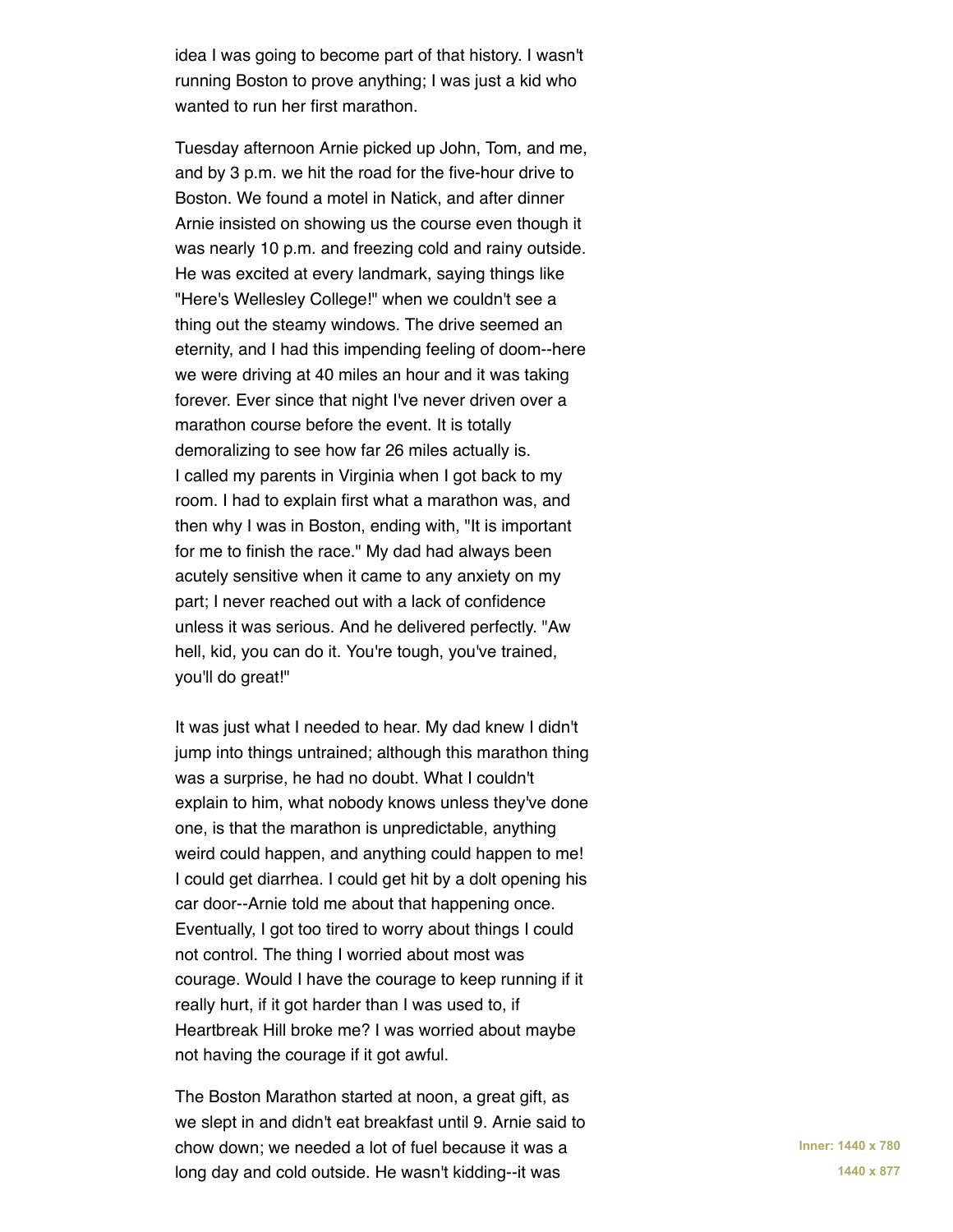idea I was going to become part of that history. I wasn't running Boston to prove anything; I was just a kid who wanted to run her first marathon.

Tuesday afternoon Arnie picked up John, Tom, and me, and by 3 p.m. we hit the road for the five-hour drive to Boston. We found a motel in Natick, and after dinner Arnie insisted on showing us the course even though it was nearly 10 p.m. and freezing cold and rainy outside. He was excited at every landmark, saying things like "Here's Wellesley College!" when we couldn't see a thing out the steamy windows. The drive seemed an eternity, and I had this impending feeling of doom--here we were driving at 40 miles an hour and it was taking forever. Ever since that night I've never driven over a marathon course before the event. It is totally demoralizing to see how far 26 miles actually is. I called my parents in Virginia when I got back to my room. I had to explain first what a marathon was, and then why I was in Boston, ending with, "It is important for me to finish the race." My dad had always been acutely sensitive when it came to any anxiety on my part; I never reached out with a lack of confidence unless it was serious. And he delivered perfectly. "Aw hell, kid, you can do it. You're tough, you've trained, you'll do great!"

It was just what I needed to hear. My dad knew I didn't jump into things untrained; although this marathon thing was a surprise, he had no doubt. What I couldn't explain to him, what nobody knows unless they've done one, is that the marathon is unpredictable, anything weird could happen, and anything could happen to me! I could get diarrhea. I could get hit by a dolt opening his car door--Arnie told me about that happening once. Eventually, I got too tired to worry about things I could not control. The thing I worried about most was courage. Would I have the courage to keep running if it really hurt, if it got harder than I was used to, if Heartbreak Hill broke me? I was worried about maybe not having the courage if it got awful.

The Boston Marathon started at noon, a great gift, as we slept in and didn't eat breakfast until 9. Arnie said to chow down; we needed a lot of fuel because it was a long day and cold outside. He wasn't kidding--it was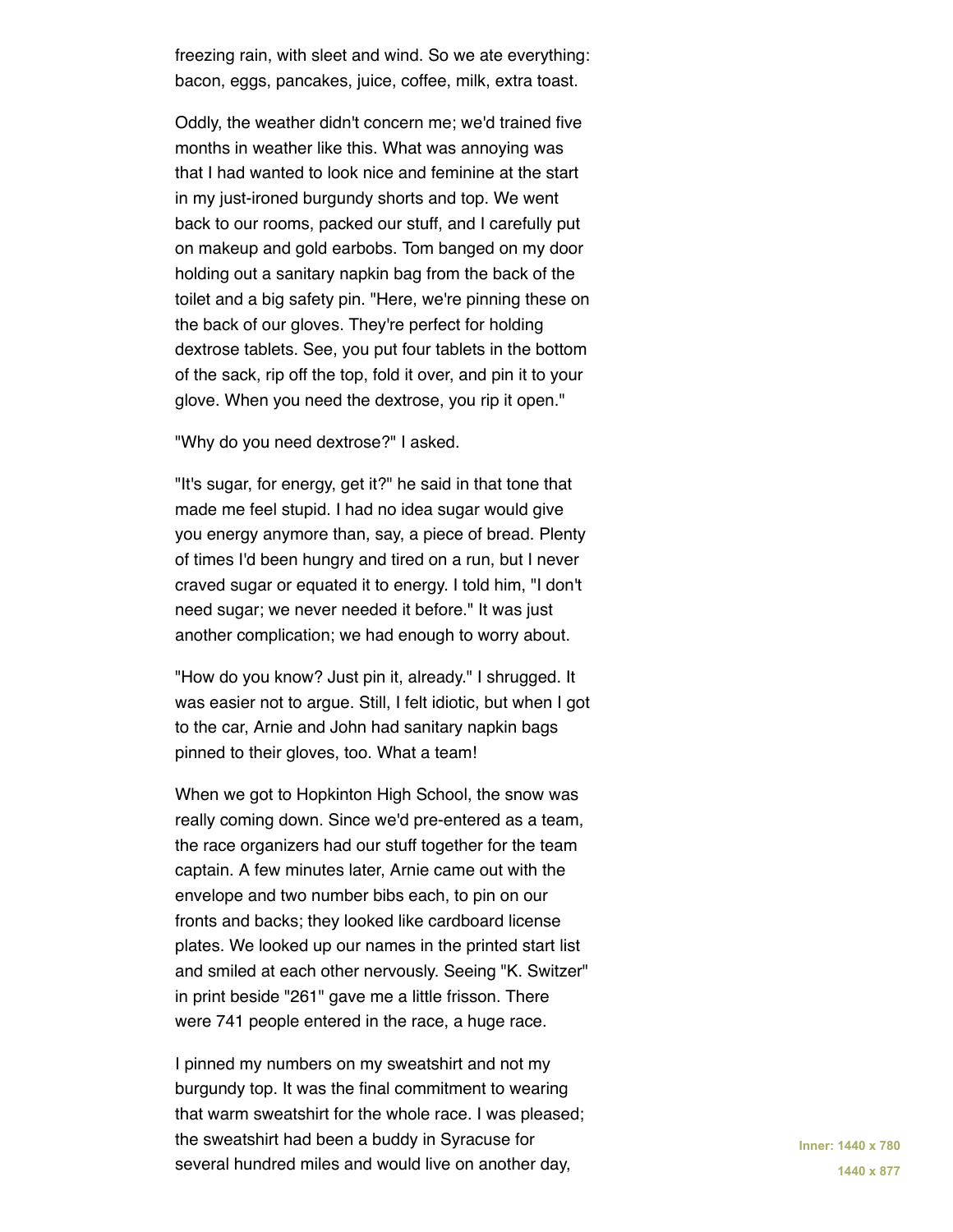freezing rain, with sleet and wind. So we ate everything: bacon, eggs, pancakes, juice, coffee, milk, extra toast.

Oddly, the weather didn't concern me; we'd trained five months in weather like this. What was annoying was that I had wanted to look nice and feminine at the start in my just-ironed burgundy shorts and top. We went back to our rooms, packed our stuff, and I carefully put on makeup and gold earbobs. Tom banged on my door holding out a sanitary napkin bag from the back of the toilet and a big safety pin. "Here, we're pinning these on the back of our gloves. They're perfect for holding dextrose tablets. See, you put four tablets in the bottom of the sack, rip off the top, fold it over, and pin it to your glove. When you need the dextrose, you rip it open."

"Why do you need dextrose?" I asked.

"It's sugar, for energy, get it?" he said in that tone that made me feel stupid. I had no idea sugar would give you energy anymore than, say, a piece of bread. Plenty of times I'd been hungry and tired on a run, but I never craved sugar or equated it to energy. I told him, "I don't need sugar; we never needed it before." It was just another complication; we had enough to worry about.

"How do you know? Just pin it, already." I shrugged. It was easier not to argue. Still, I felt idiotic, but when I got to the car, Arnie and John had sanitary napkin bags pinned to their gloves, too. What a team!

When we got to Hopkinton High School, the snow was really coming down. Since we'd pre-entered as a team, the race organizers had our stuff together for the team captain. A few minutes later, Arnie came out with the envelope and two number bibs each, to pin on our fronts and backs; they looked like cardboard license plates. We looked up our names in the printed start list and smiled at each other nervously. Seeing "K. Switzer" in print beside "261" gave me a little frisson. There were 741 people entered in the race, a huge race.

I pinned my numbers on my sweatshirt and not my burgundy top. It was the final commitment to wearing that warm sweatshirt for the whole race. I was pleased; the sweatshirt had been a buddy in Syracuse for several hundred miles and would live on another day,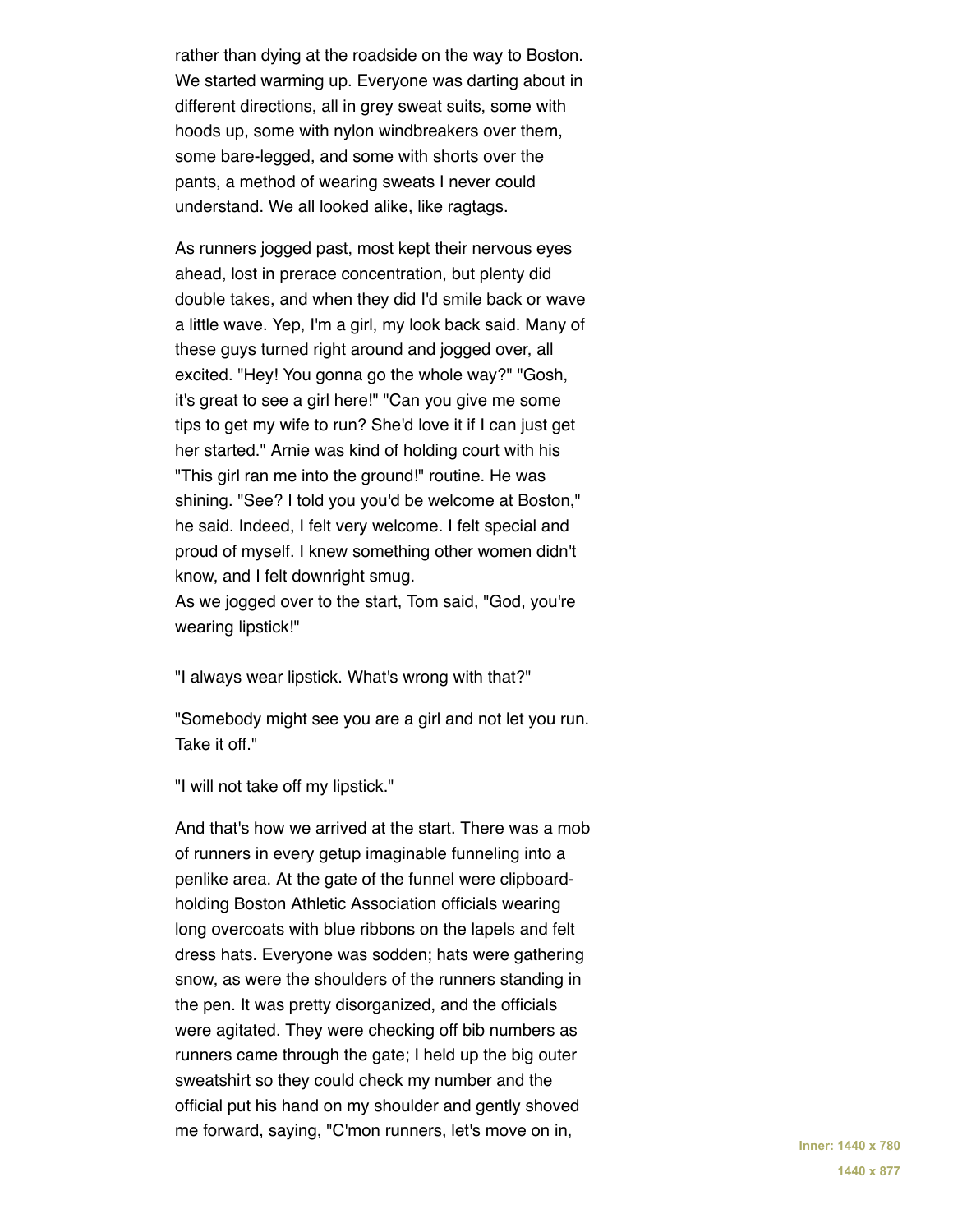rather than dying at the roadside on the way to Boston. We started warming up. Everyone was darting about in different directions, all in grey sweat suits, some with hoods up, some with nylon windbreakers over them, some bare-legged, and some with shorts over the pants, a method of wearing sweats I never could understand. We all looked alike, like ragtags.

As runners jogged past, most kept their nervous eyes ahead, lost in prerace concentration, but plenty did double takes, and when they did I'd smile back or wave a little wave. Yep, I'm a girl, my look back said. Many of these guys turned right around and jogged over, all excited. "Hey! You gonna go the whole way?" "Gosh, it's great to see a girl here!" "Can you give me some tips to get my wife to run? She'd love it if I can just get her started." Arnie was kind of holding court with his "This girl ran me into the ground!" routine. He was shining. "See? I told you you'd be welcome at Boston," he said. Indeed, I felt very welcome. I felt special and proud of myself. I knew something other women didn't know, and I felt downright smug.

As we jogged over to the start, Tom said, "God, you're wearing lipstick!"

"I always wear lipstick. What's wrong with that?"

"Somebody might see you are a girl and not let you run. Take it off."

"I will not take off my lipstick."

And that's how we arrived at the start. There was a mob of runners in every getup imaginable funneling into a penlike area. At the gate of the funnel were clipboardholding Boston Athletic Association officials wearing long overcoats with blue ribbons on the lapels and felt dress hats. Everyone was sodden; hats were gathering snow, as were the shoulders of the runners standing in the pen. It was pretty disorganized, and the officials were agitated. They were checking off bib numbers as runners came through the gate; I held up the big outer sweatshirt so they could check my number and the official put his hand on my shoulder and gently shoved me forward, saying, "C'mon runners, let's move on in,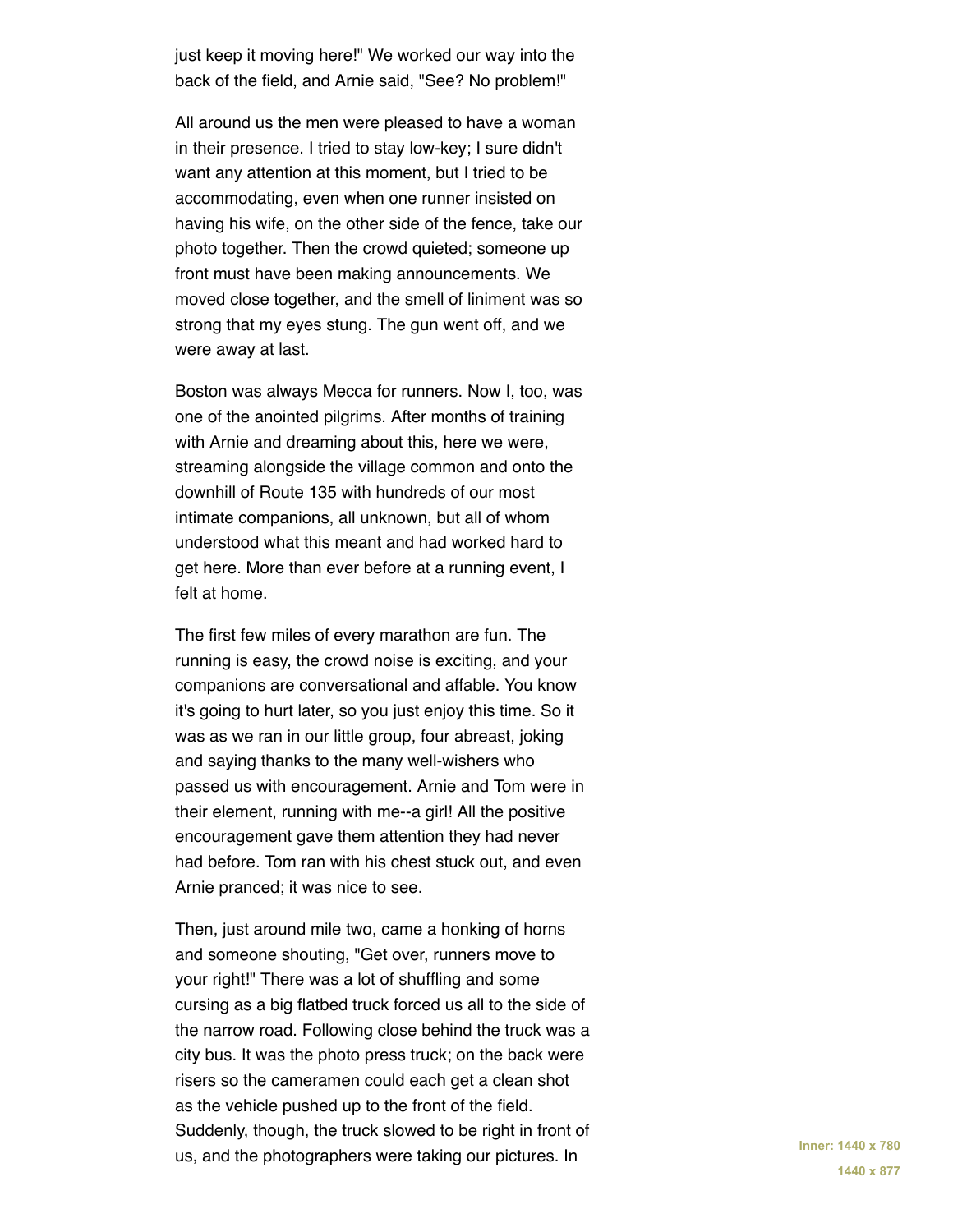just keep it moving here!" We worked our way into the back of the field, and Arnie said, "See? No problem!"

All around us the men were pleased to have a woman in their presence. I tried to stay low-key; I sure didn't want any attention at this moment, but I tried to be accommodating, even when one runner insisted on having his wife, on the other side of the fence, take our photo together. Then the crowd quieted; someone up front must have been making announcements. We moved close together, and the smell of liniment was so strong that my eyes stung. The gun went off, and we were away at last.

Boston was always Mecca for runners. Now I, too, was one of the anointed pilgrims. After months of training with Arnie and dreaming about this, here we were, streaming alongside the village common and onto the downhill of Route 135 with hundreds of our most intimate companions, all unknown, but all of whom understood what this meant and had worked hard to get here. More than ever before at a running event, I felt at home.

The first few miles of every marathon are fun. The running is easy, the crowd noise is exciting, and your companions are conversational and affable. You know it's going to hurt later, so you just enjoy this time. So it was as we ran in our little group, four abreast, joking and saying thanks to the many well-wishers who passed us with encouragement. Arnie and Tom were in their element, running with me--a girl! All the positive encouragement gave them attention they had never had before. Tom ran with his chest stuck out, and even Arnie pranced; it was nice to see.

Then, just around mile two, came a honking of horns and someone shouting, "Get over, runners move to your right!" There was a lot of shuffling and some cursing as a big flatbed truck forced us all to the side of the narrow road. Following close behind the truck was a city bus. It was the photo press truck; on the back were risers so the cameramen could each get a clean shot as the vehicle pushed up to the front of the field. Suddenly, though, the truck slowed to be right in front of us, and the photographers were taking our pictures. In **Inner: 1440** x 780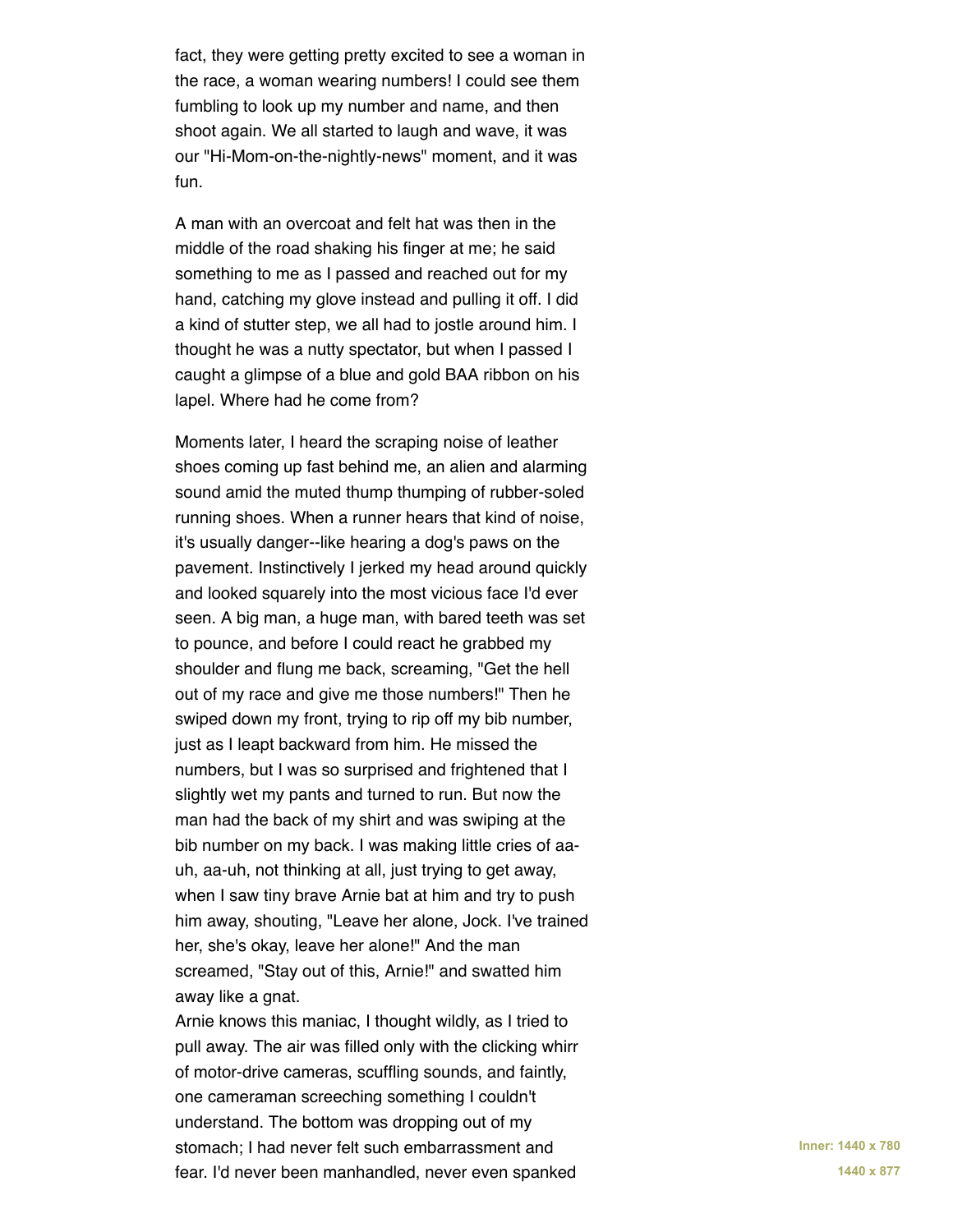fact, they were getting pretty excited to see a woman in the race, a woman wearing numbers! I could see them fumbling to look up my number and name, and then shoot again. We all started to laugh and wave, it was our "Hi-Mom-on-the-nightly-news" moment, and it was fun.

A man with an overcoat and felt hat was then in the middle of the road shaking his finger at me; he said something to me as I passed and reached out for my hand, catching my glove instead and pulling it off. I did a kind of stutter step, we all had to jostle around him. I thought he was a nutty spectator, but when I passed I caught a glimpse of a blue and gold BAA ribbon on his lapel. Where had he come from?

Moments later, I heard the scraping noise of leather shoes coming up fast behind me, an alien and alarming sound amid the muted thump thumping of rubber-soled running shoes. When a runner hears that kind of noise, it's usually danger--like hearing a dog's paws on the pavement. Instinctively I jerked my head around quickly and looked squarely into the most vicious face I'd ever seen. A big man, a huge man, with bared teeth was set to pounce, and before I could react he grabbed my shoulder and flung me back, screaming, "Get the hell out of my race and give me those numbers!" Then he swiped down my front, trying to rip off my bib number, just as I leapt backward from him. He missed the numbers, but I was so surprised and frightened that I slightly wet my pants and turned to run. But now the man had the back of my shirt and was swiping at the bib number on my back. I was making little cries of aauh, aa-uh, not thinking at all, just trying to get away, when I saw tiny brave Arnie bat at him and try to push him away, shouting, "Leave her alone, Jock. I've trained her, she's okay, leave her alone!" And the man screamed, "Stay out of this, Arnie!" and swatted him away like a gnat.

Arnie knows this maniac, I thought wildly, as I tried to pull away. The air was filled only with the clicking whirr of motor-drive cameras, scuffling sounds, and faintly, one cameraman screeching something I couldn't understand. The bottom was dropping out of my stomach; I had never felt such embarrassment and fear. I'd never been manhandled, never even spanked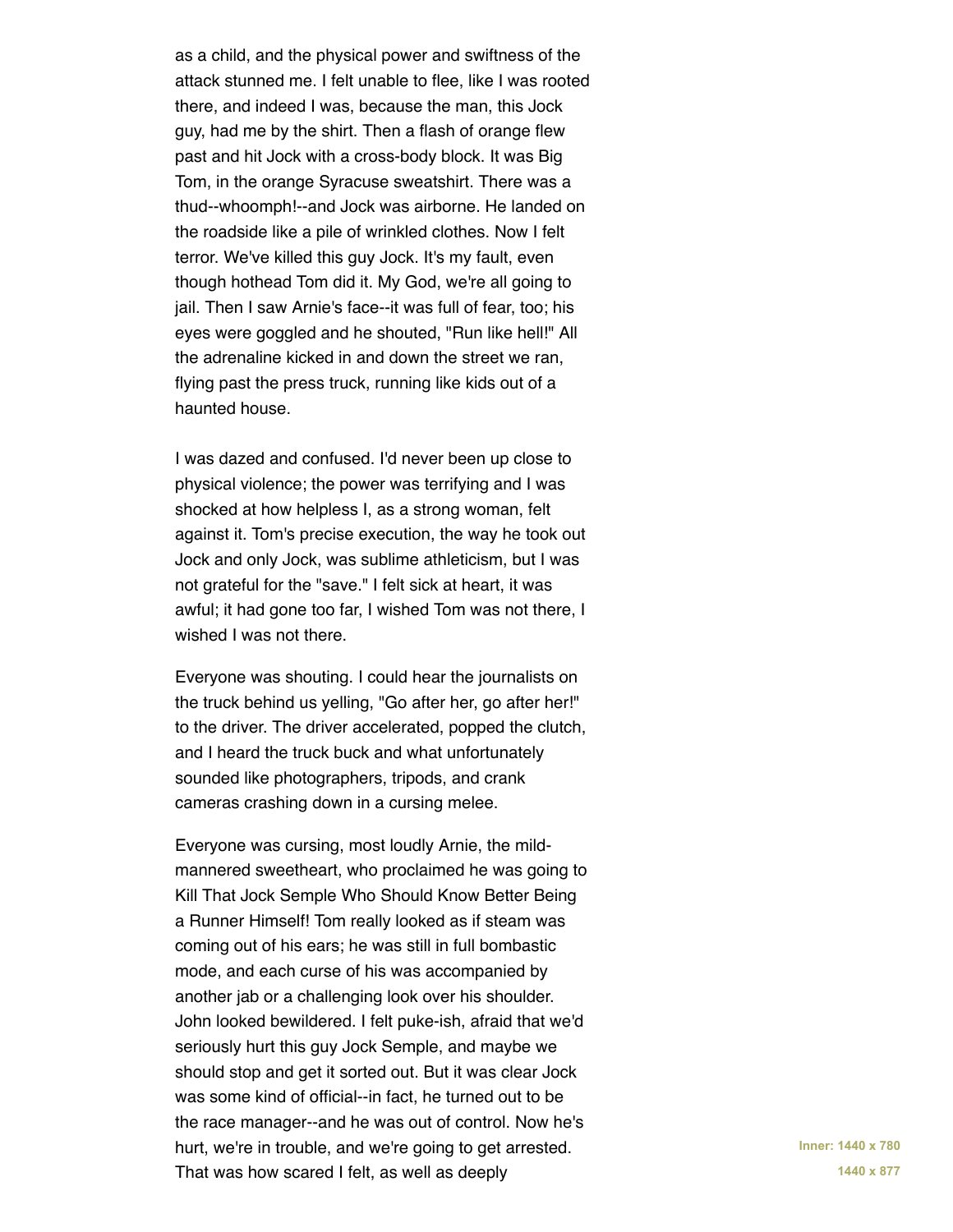as a child, and the physical power and swiftness of the attack stunned me. I felt unable to flee, like I was rooted there, and indeed I was, because the man, this Jock guy, had me by the shirt. Then a flash of orange flew past and hit Jock with a cross-body block. It was Big Tom, in the orange Syracuse sweatshirt. There was a thud--whoomph!--and Jock was airborne. He landed on the roadside like a pile of wrinkled clothes. Now I felt terror. We've killed this guy Jock. It's my fault, even though hothead Tom did it. My God, we're all going to jail. Then I saw Arnie's face--it was full of fear, too; his eyes were goggled and he shouted, "Run like hell!" All the adrenaline kicked in and down the street we ran, flying past the press truck, running like kids out of a haunted house.

I was dazed and confused. I'd never been up close to physical violence; the power was terrifying and I was shocked at how helpless I, as a strong woman, felt against it. Tom's precise execution, the way he took out Jock and only Jock, was sublime athleticism, but I was not grateful for the "save." I felt sick at heart, it was awful; it had gone too far, I wished Tom was not there, I wished I was not there.

Everyone was shouting. I could hear the journalists on the truck behind us yelling, "Go after her, go after her!" to the driver. The driver accelerated, popped the clutch, and I heard the truck buck and what unfortunately sounded like photographers, tripods, and crank cameras crashing down in a cursing melee.

Everyone was cursing, most loudly Arnie, the mildmannered sweetheart, who proclaimed he was going to Kill That Jock Semple Who Should Know Better Being a Runner Himself! Tom really looked as if steam was coming out of his ears; he was still in full bombastic mode, and each curse of his was accompanied by another jab or a challenging look over his shoulder. John looked bewildered. I felt puke-ish, afraid that we'd seriously hurt this guy Jock Semple, and maybe we should stop and get it sorted out. But it was clear Jock was some kind of official--in fact, he turned out to be the race manager--and he was out of control. Now he's hurt, we're in trouble, and we're going to get arrested. That was how scared I felt, as well as deeply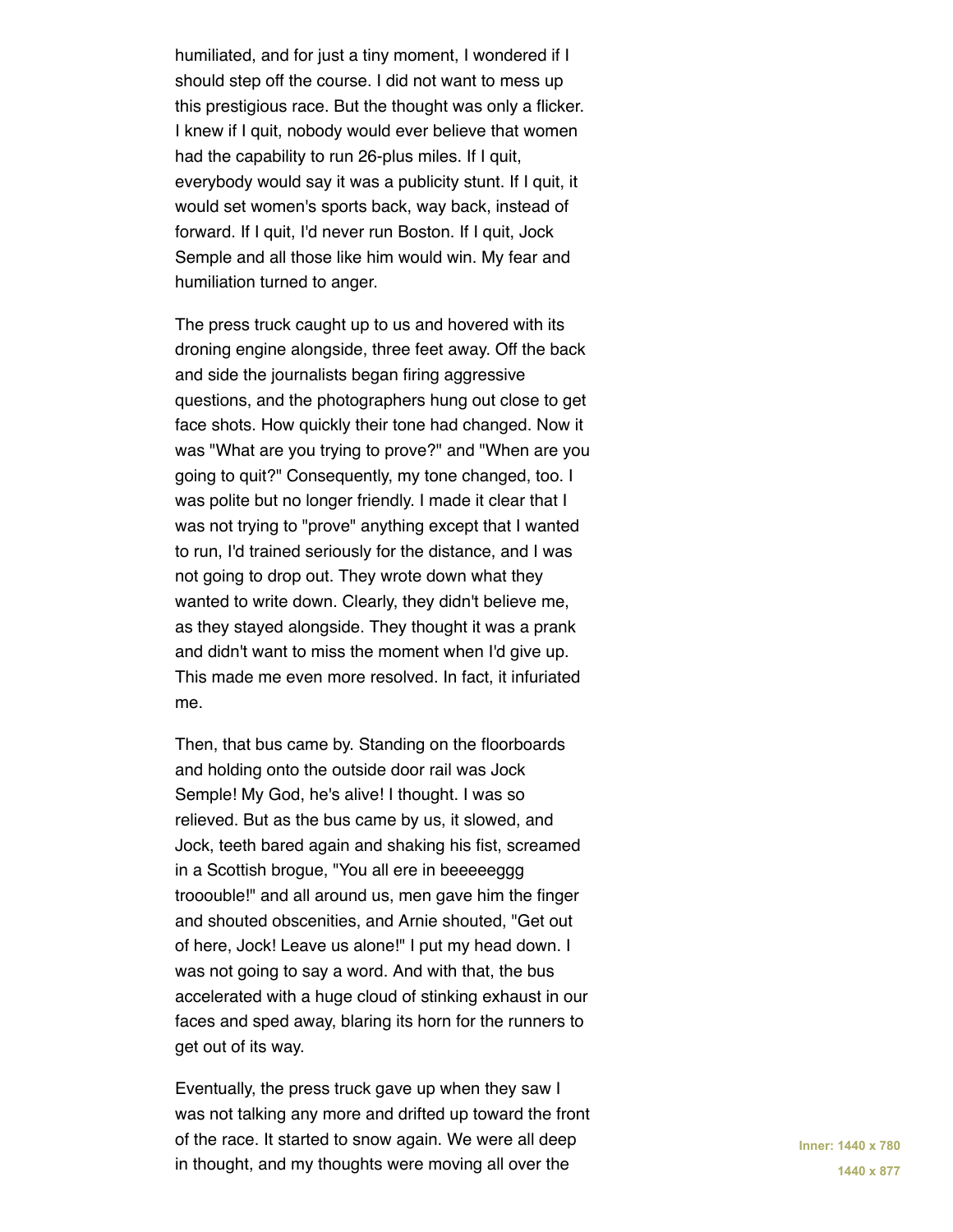humiliated, and for just a tiny moment, I wondered if I should step off the course. I did not want to mess up this prestigious race. But the thought was only a flicker. I knew if I quit, nobody would ever believe that women had the capability to run 26-plus miles. If I quit, everybody would say it was a publicity stunt. If I quit, it would set women's sports back, way back, instead of forward. If I quit, I'd never run Boston. If I quit, Jock Semple and all those like him would win. My fear and humiliation turned to anger.

The press truck caught up to us and hovered with its droning engine alongside, three feet away. Off the back and side the journalists began firing aggressive questions, and the photographers hung out close to get face shots. How quickly their tone had changed. Now it was "What are you trying to prove?" and "When are you going to quit?" Consequently, my tone changed, too. I was polite but no longer friendly. I made it clear that I was not trying to "prove" anything except that I wanted to run, I'd trained seriously for the distance, and I was not going to drop out. They wrote down what they wanted to write down. Clearly, they didn't believe me, as they stayed alongside. They thought it was a prank and didn't want to miss the moment when I'd give up. This made me even more resolved. In fact, it infuriated me.

Then, that bus came by. Standing on the floorboards and holding onto the outside door rail was Jock Semple! My God, he's alive! I thought. I was so relieved. But as the bus came by us, it slowed, and Jock, teeth bared again and shaking his fist, screamed in a Scottish brogue, "You all ere in beeeeeggg trooouble!" and all around us, men gave him the finger and shouted obscenities, and Arnie shouted, "Get out of here, Jock! Leave us alone!" I put my head down. I was not going to say a word. And with that, the bus accelerated with a huge cloud of stinking exhaust in our faces and sped away, blaring its horn for the runners to get out of its way.

Eventually, the press truck gave up when they saw I was not talking any more and drifted up toward the front of the race. It started to snow again. We were all deep in thought, and my thoughts were moving all over the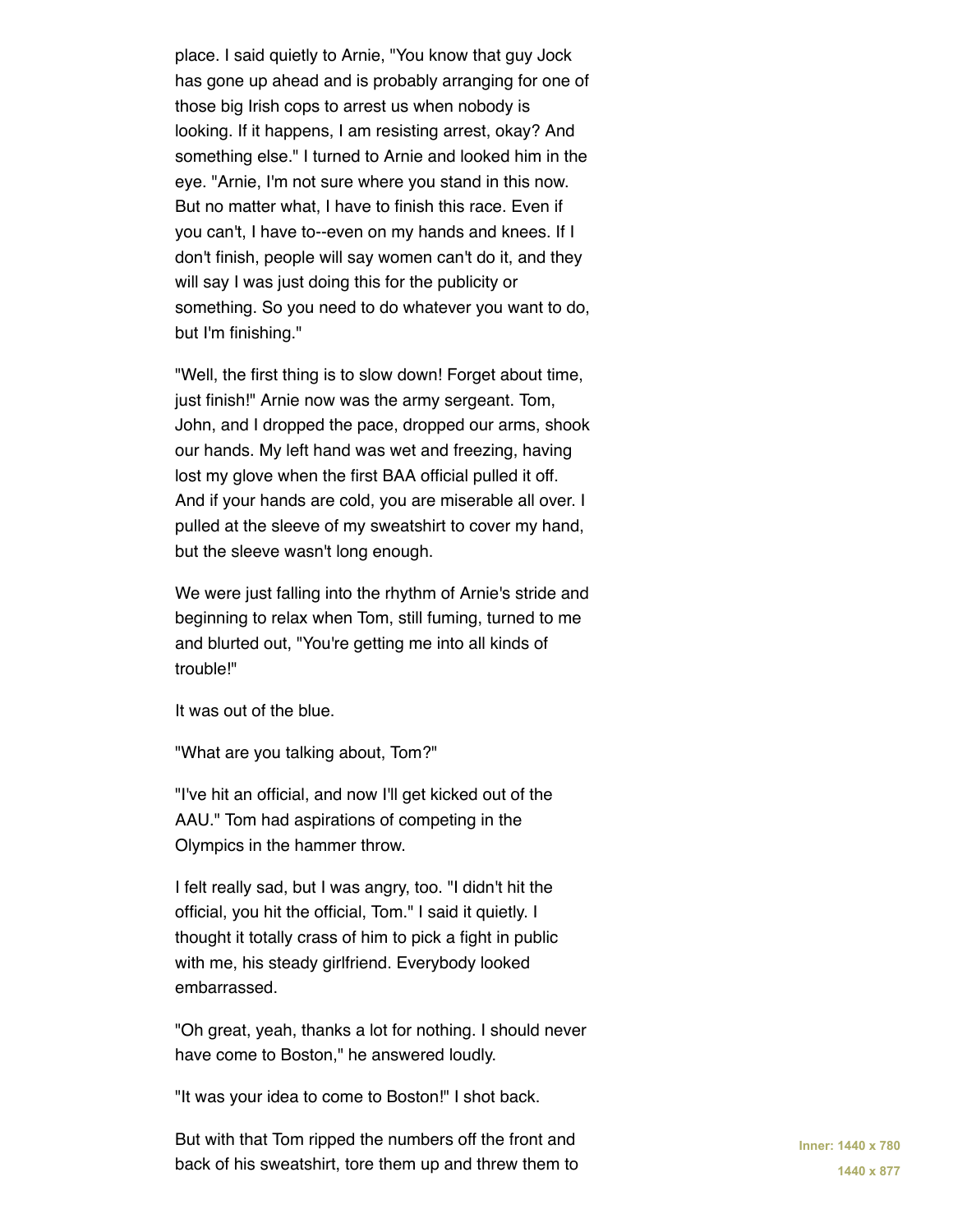place. I said quietly to Arnie, "You know that guy Jock has gone up ahead and is probably arranging for one of those big Irish cops to arrest us when nobody is looking. If it happens, I am resisting arrest, okay? And something else." I turned to Arnie and looked him in the eye. "Arnie, I'm not sure where you stand in this now. But no matter what, I have to finish this race. Even if you can't, I have to--even on my hands and knees. If I don't finish, people will say women can't do it, and they will say I was just doing this for the publicity or something. So you need to do whatever you want to do, but I'm finishing."

"Well, the first thing is to slow down! Forget about time, just finish!" Arnie now was the army sergeant. Tom, John, and I dropped the pace, dropped our arms, shook our hands. My left hand was wet and freezing, having lost my glove when the first BAA official pulled it off. And if your hands are cold, you are miserable all over. I pulled at the sleeve of my sweatshirt to cover my hand, but the sleeve wasn't long enough.

We were just falling into the rhythm of Arnie's stride and beginning to relax when Tom, still fuming, turned to me and blurted out, "You're getting me into all kinds of trouble!"

It was out of the blue.

"What are you talking about, Tom?"

"I've hit an official, and now I'll get kicked out of the AAU." Tom had aspirations of competing in the Olympics in the hammer throw.

I felt really sad, but I was angry, too. "I didn't hit the official, you hit the official, Tom." I said it quietly. I thought it totally crass of him to pick a fight in public with me, his steady girlfriend. Everybody looked embarrassed.

"Oh great, yeah, thanks a lot for nothing. I should never have come to Boston," he answered loudly.

"It was your idea to come to Boston!" I shot back.

But with that Tom ripped the numbers off the front and back of his sweatshirt, tore them up and threw them to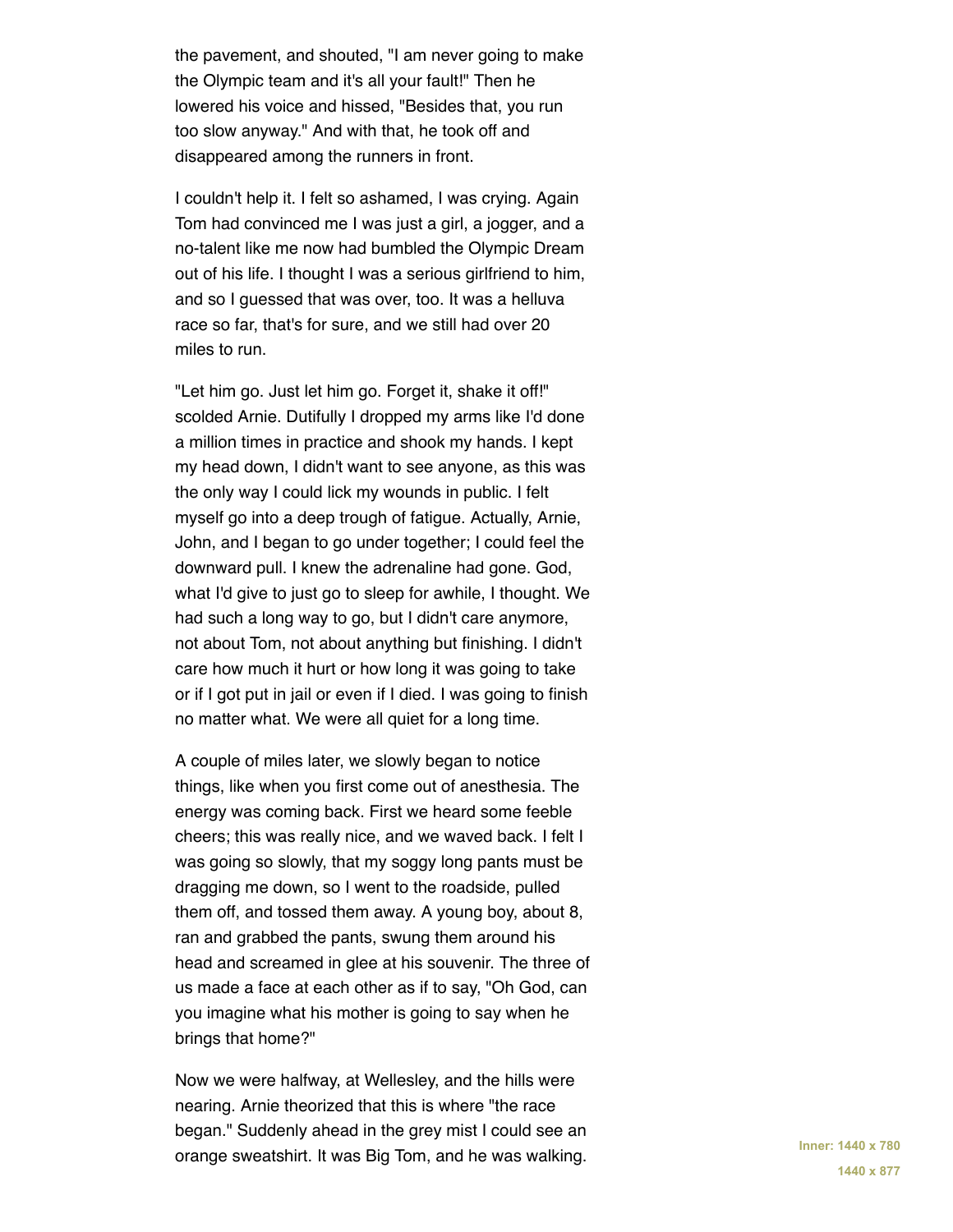the pavement, and shouted, "I am never going to make the Olympic team and it's all your fault!" Then he lowered his voice and hissed, "Besides that, you run too slow anyway." And with that, he took off and disappeared among the runners in front.

I couldn't help it. I felt so ashamed, I was crying. Again Tom had convinced me I was just a girl, a jogger, and a no-talent like me now had bumbled the Olympic Dream out of his life. I thought I was a serious girlfriend to him, and so I guessed that was over, too. It was a helluva race so far, that's for sure, and we still had over 20 miles to run.

"Let him go. Just let him go. Forget it, shake it off!" scolded Arnie. Dutifully I dropped my arms like I'd done a million times in practice and shook my hands. I kept my head down, I didn't want to see anyone, as this was the only way I could lick my wounds in public. I felt myself go into a deep trough of fatigue. Actually, Arnie, John, and I began to go under together; I could feel the downward pull. I knew the adrenaline had gone. God, what I'd give to just go to sleep for awhile, I thought. We had such a long way to go, but I didn't care anymore, not about Tom, not about anything but finishing. I didn't care how much it hurt or how long it was going to take or if I got put in jail or even if I died. I was going to finish no matter what. We were all quiet for a long time.

A couple of miles later, we slowly began to notice things, like when you first come out of anesthesia. The energy was coming back. First we heard some feeble cheers; this was really nice, and we waved back. I felt I was going so slowly, that my soggy long pants must be dragging me down, so I went to the roadside, pulled them off, and tossed them away. A young boy, about 8, ran and grabbed the pants, swung them around his head and screamed in glee at his souvenir. The three of us made a face at each other as if to say, "Oh God, can you imagine what his mother is going to say when he brings that home?"

Now we were halfway, at Wellesley, and the hills were nearing. Arnie theorized that this is where "the race began." Suddenly ahead in the grey mist I could see an orange sweatshirt. It was Big Tom, and he was walking.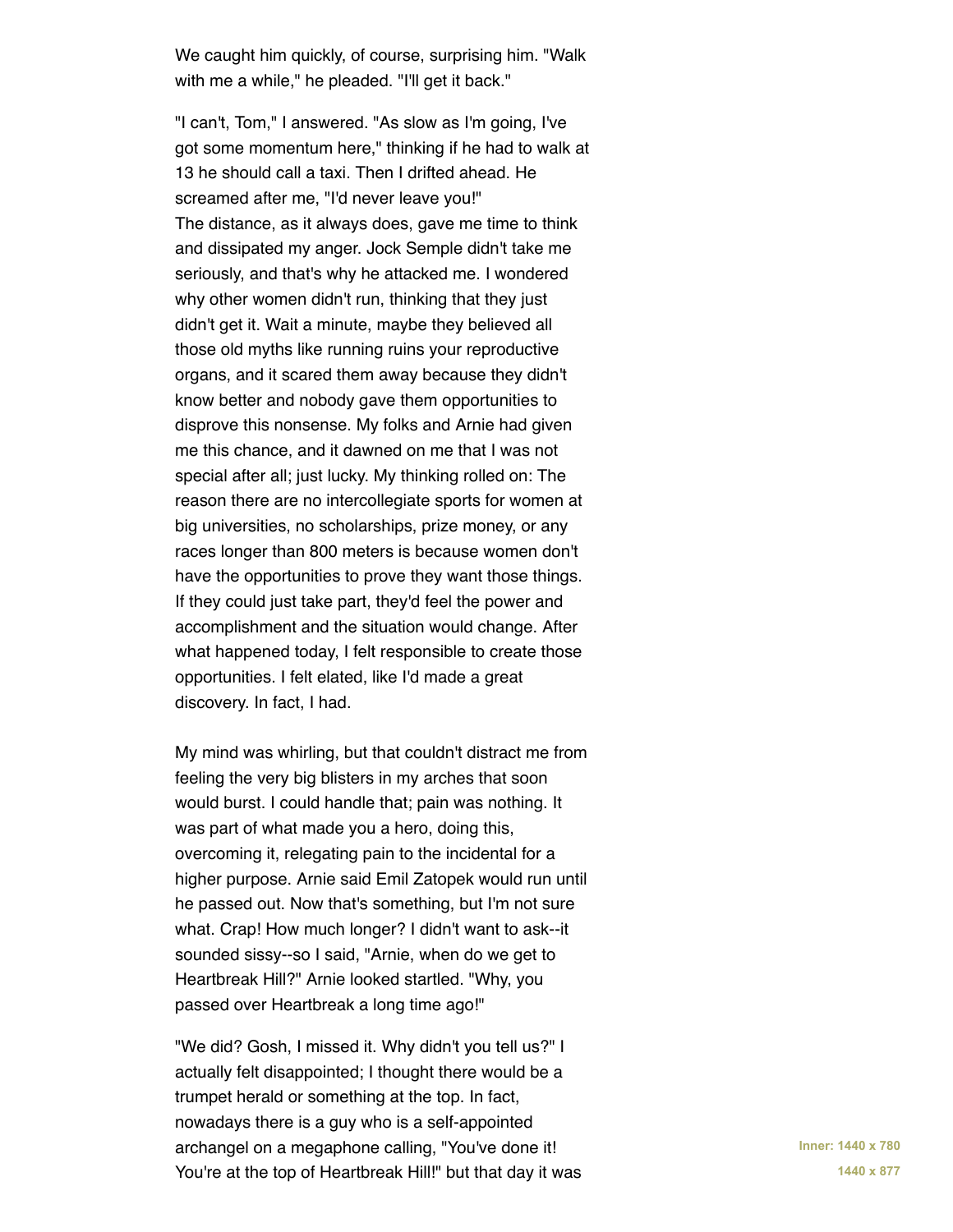We caught him quickly, of course, surprising him. "Walk with me a while," he pleaded. "I'll get it back."

"I can't, Tom," I answered. "As slow as I'm going, I've got some momentum here," thinking if he had to walk at 13 he should call a taxi. Then I drifted ahead. He screamed after me, "I'd never leave you!" The distance, as it always does, gave me time to think and dissipated my anger. Jock Semple didn't take me seriously, and that's why he attacked me. I wondered why other women didn't run, thinking that they just didn't get it. Wait a minute, maybe they believed all those old myths like running ruins your reproductive organs, and it scared them away because they didn't know better and nobody gave them opportunities to disprove this nonsense. My folks and Arnie had given me this chance, and it dawned on me that I was not special after all; just lucky. My thinking rolled on: The reason there are no intercollegiate sports for women at big universities, no scholarships, prize money, or any races longer than 800 meters is because women don't have the opportunities to prove they want those things. If they could just take part, they'd feel the power and accomplishment and the situation would change. After what happened today, I felt responsible to create those opportunities. I felt elated, like I'd made a great discovery. In fact, I had.

My mind was whirling, but that couldn't distract me from feeling the very big blisters in my arches that soon would burst. I could handle that; pain was nothing. It was part of what made you a hero, doing this, overcoming it, relegating pain to the incidental for a higher purpose. Arnie said Emil Zatopek would run until he passed out. Now that's something, but I'm not sure what. Crap! How much longer? I didn't want to ask--it sounded sissy--so I said, "Arnie, when do we get to Heartbreak Hill?" Arnie looked startled. "Why, you passed over Heartbreak a long time ago!"

"We did? Gosh, I missed it. Why didn't you tell us?" I actually felt disappointed; I thought there would be a trumpet herald or something at the top. In fact, nowadays there is a guy who is a self-appointed archangel on a megaphone calling, "You've done it! You're at the top of Heartbreak Hill!" but that day it was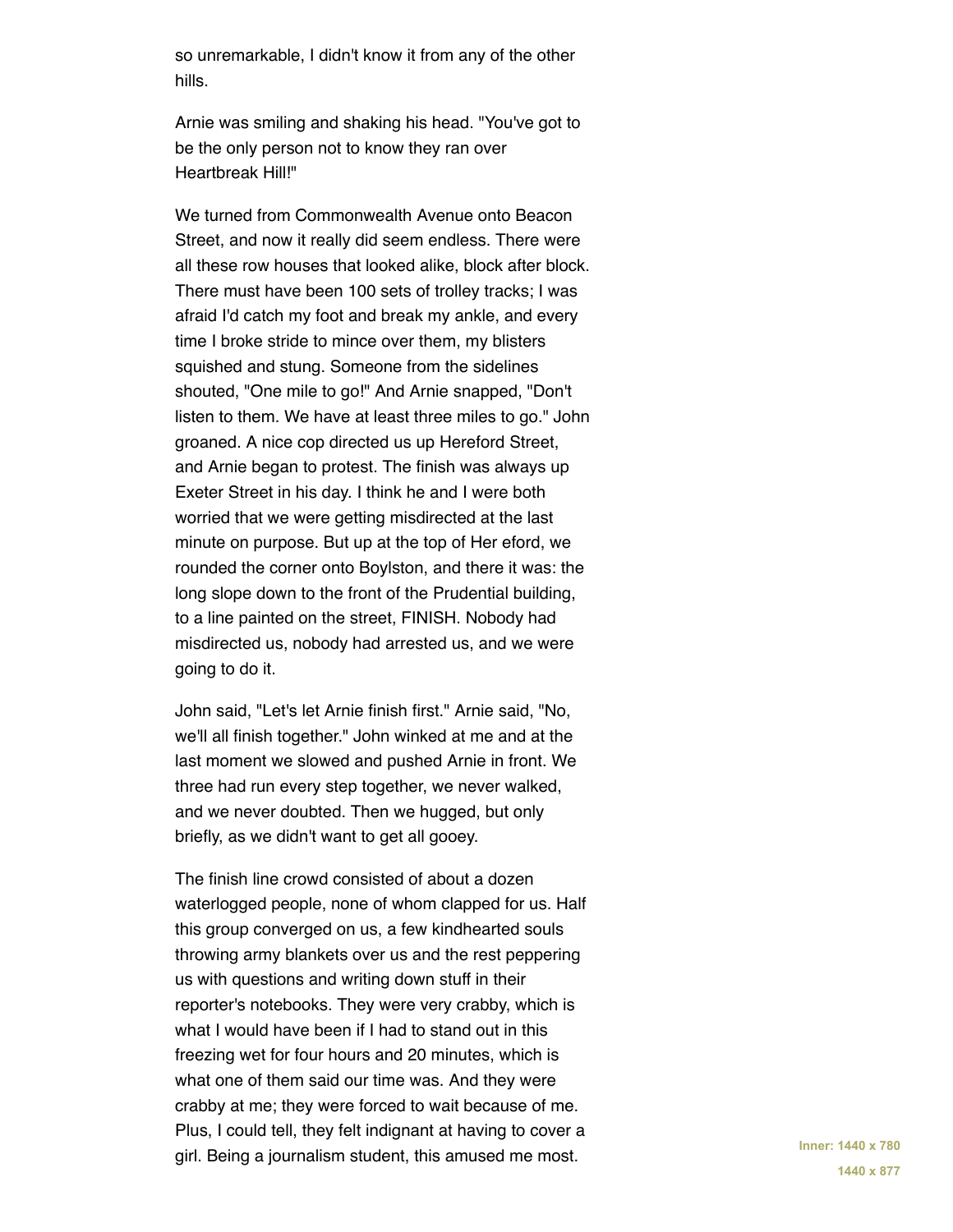so unremarkable, I didn't know it from any of the other hills.

Arnie was smiling and shaking his head. "You've got to be the only person not to know they ran over Heartbreak Hill!"

We turned from Commonwealth Avenue onto Beacon Street, and now it really did seem endless. There were all these row houses that looked alike, block after block. There must have been 100 sets of trolley tracks; I was afraid I'd catch my foot and break my ankle, and every time I broke stride to mince over them, my blisters squished and stung. Someone from the sidelines shouted, "One mile to go!" And Arnie snapped, "Don't listen to them. We have at least three miles to go." John groaned. A nice cop directed us up Hereford Street, and Arnie began to protest. The finish was always up Exeter Street in his day. I think he and I were both worried that we were getting misdirected at the last minute on purpose. But up at the top of Her eford, we rounded the corner onto Boylston, and there it was: the long slope down to the front of the Prudential building, to a line painted on the street, FINISH. Nobody had misdirected us, nobody had arrested us, and we were going to do it.

John said, "Let's let Arnie finish first." Arnie said, "No, we'll all finish together." John winked at me and at the last moment we slowed and pushed Arnie in front. We three had run every step together, we never walked, and we never doubted. Then we hugged, but only briefly, as we didn't want to get all gooey.

The finish line crowd consisted of about a dozen waterlogged people, none of whom clapped for us. Half this group converged on us, a few kindhearted souls throwing army blankets over us and the rest peppering us with questions and writing down stuff in their reporter's notebooks. They were very crabby, which is what I would have been if I had to stand out in this freezing wet for four hours and 20 minutes, which is what one of them said our time was. And they were crabby at me; they were forced to wait because of me. Plus, I could tell, they felt indignant at having to cover a girl. Being a journalism student, this amused me most.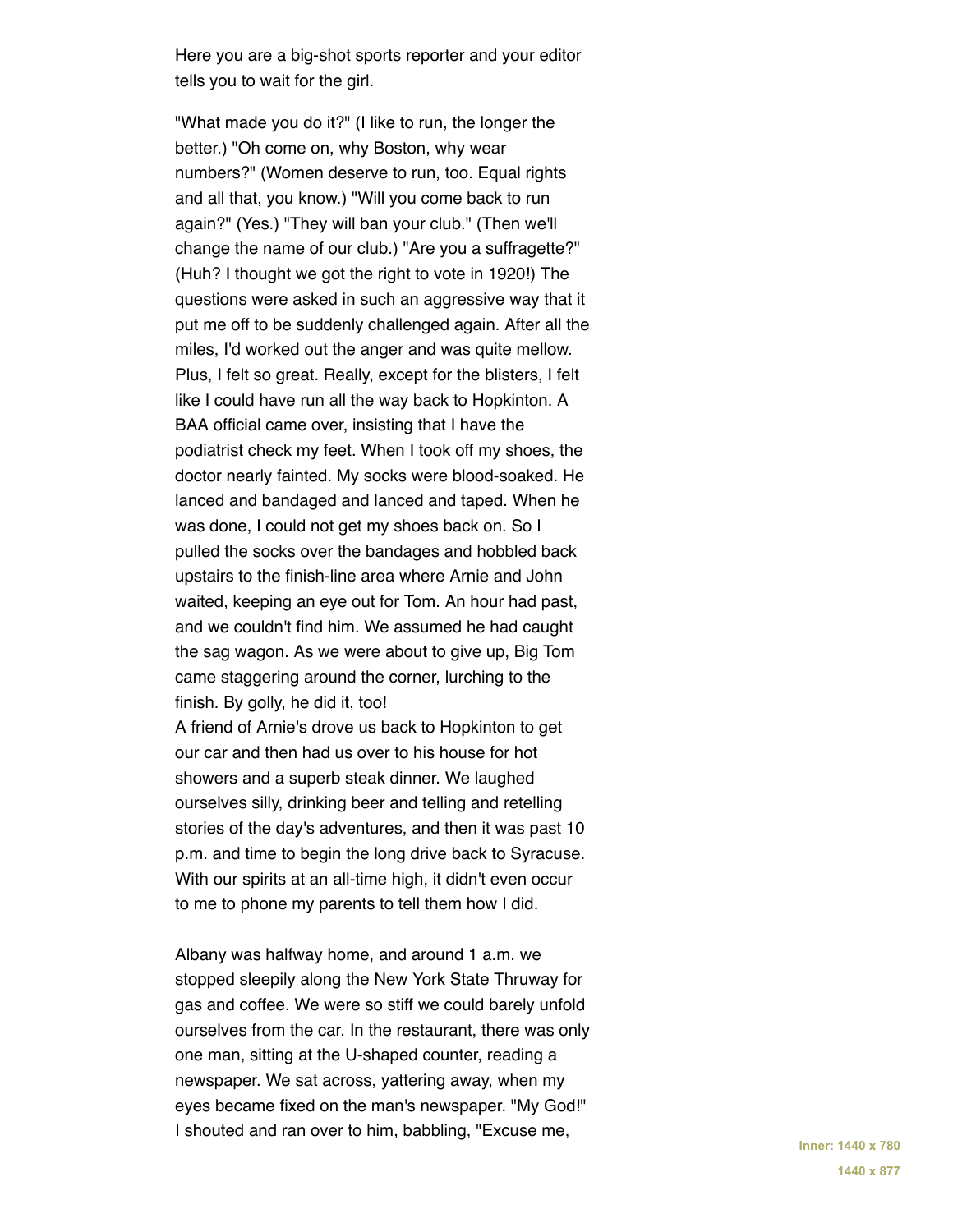Here you are a big-shot sports reporter and your editor tells you to wait for the girl.

"What made you do it?" (I like to run, the longer the better.) "Oh come on, why Boston, why wear numbers?" (Women deserve to run, too. Equal rights and all that, you know.) "Will you come back to run again?" (Yes.) "They will ban your club." (Then we'll change the name of our club.) "Are you a suffragette?" (Huh? I thought we got the right to vote in 1920!) The questions were asked in such an aggressive way that it put me off to be suddenly challenged again. After all the miles, I'd worked out the anger and was quite mellow. Plus, I felt so great. Really, except for the blisters, I felt like I could have run all the way back to Hopkinton. A BAA official came over, insisting that I have the podiatrist check my feet. When I took off my shoes, the doctor nearly fainted. My socks were blood-soaked. He lanced and bandaged and lanced and taped. When he was done, I could not get my shoes back on. So I pulled the socks over the bandages and hobbled back upstairs to the finish-line area where Arnie and John waited, keeping an eye out for Tom. An hour had past, and we couldn't find him. We assumed he had caught the sag wagon. As we were about to give up, Big Tom came staggering around the corner, lurching to the finish. By golly, he did it, too!

A friend of Arnie's drove us back to Hopkinton to get our car and then had us over to his house for hot showers and a superb steak dinner. We laughed ourselves silly, drinking beer and telling and retelling stories of the day's adventures, and then it was past 10 p.m. and time to begin the long drive back to Syracuse. With our spirits at an all-time high, it didn't even occur to me to phone my parents to tell them how I did.

Albany was halfway home, and around 1 a.m. we stopped sleepily along the New York State Thruway for gas and coffee. We were so stiff we could barely unfold ourselves from the car. In the restaurant, there was only one man, sitting at the U-shaped counter, reading a newspaper. We sat across, yattering away, when my eyes became fixed on the man's newspaper. "My God!" I shouted and ran over to him, babbling, "Excuse me,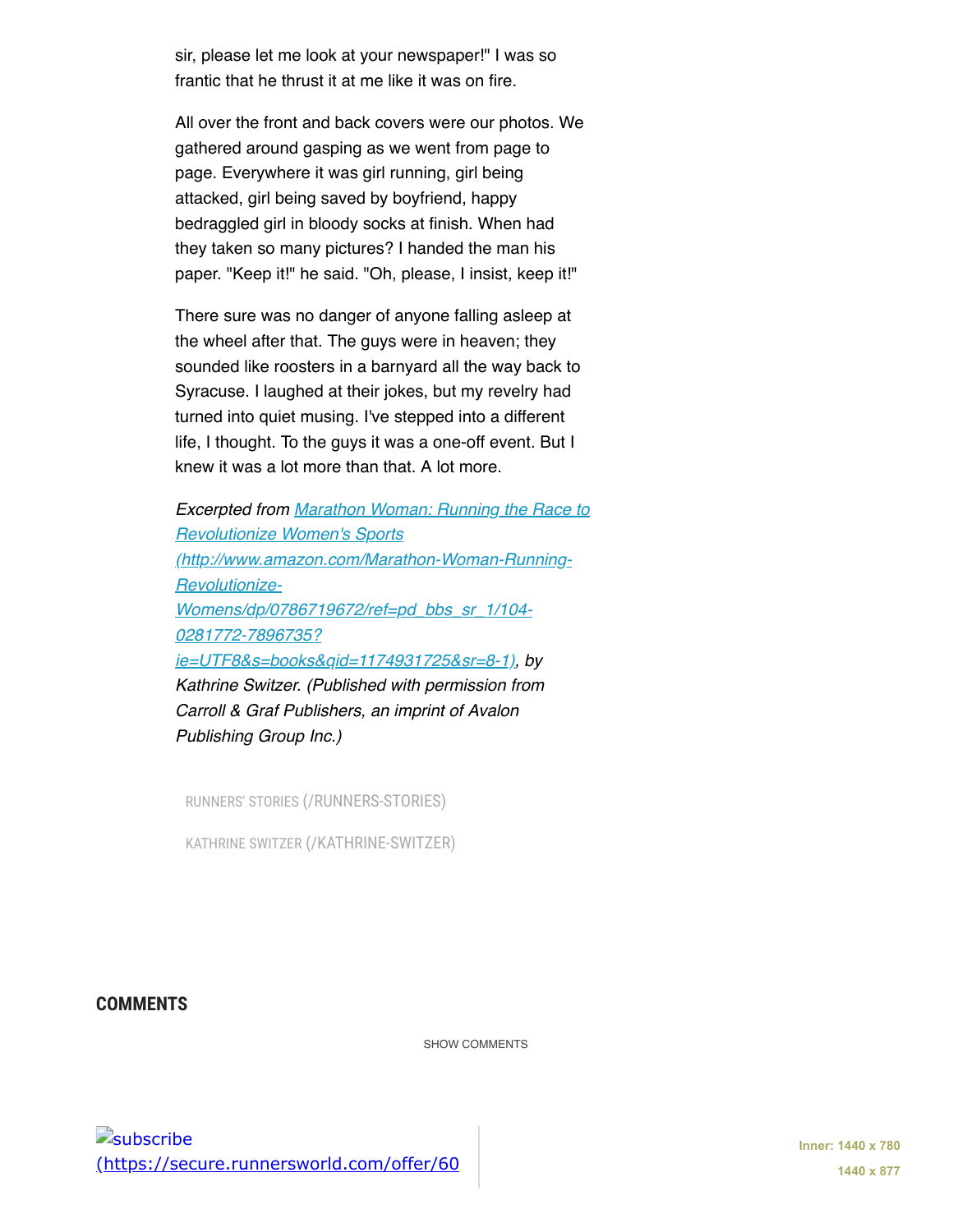sir, please let me look at your newspaper!" I was so frantic that he thrust it at me like it was on fire.

All over the front and back covers were our photos. We gathered around gasping as we went from page to page. Everywhere it was girl running, girl being attacked, girl being saved by boyfriend, happy bedraggled girl in bloody socks at finish. When had they taken so many pictures? I handed the man his paper. "Keep it!" he said. "Oh, please, I insist, keep it!"

There sure was no danger of anyone falling asleep at the wheel after that. The guys were in heaven; they sounded like roosters in a barnyard all the way back to Syracuse. I laughed at their jokes, but my revelry had turned into quiet musing. I've stepped into a different life, I thought. To the guys it was a one-off event. But I knew it was a lot more than that. A lot more.

Excerpted from Marathon Woman: Running the Race to Revolutionize Women's Sports (http://www.amazon.com/Marathon-Woman-Running-Revolutionize-Womens/dp/0786719672/ref=pd\_bbs\_sr\_1/104- 0281772-7896735? ie=UTF8&s=books&qid=1174931725&sr=8-1), by Kathrine Switzer. (Published with permission from Carroll & Graf Publishers, an imprint of Avalon Publishing Group Inc.)

RUNNERS' STORIES (/RUNNERS-STORIES)

KATHRINE SWITZER (/KATHRINE-SWITZER)

## **COMMENTS**

SHOW COMMENTS